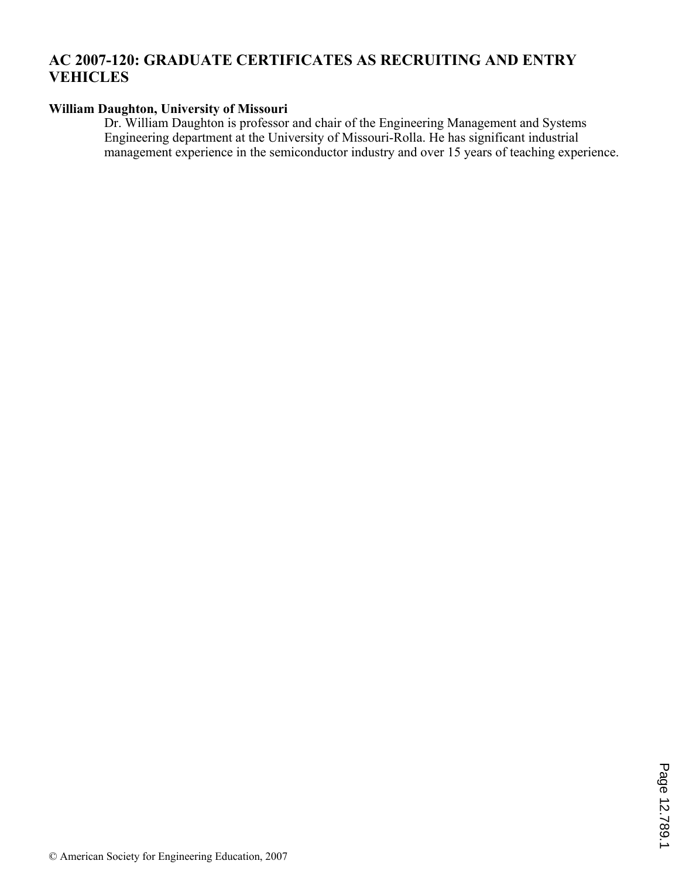# **AC 2007-120: GRADUATE CERTIFICATES AS RECRUITING AND ENTRY VEHICLES**

## **William Daughton, University of Missouri**

Dr. William Daughton is professor and chair of the Engineering Management and Systems Engineering department at the University of Missouri-Rolla. He has significant industrial management experience in the semiconductor industry and over 15 years of teaching experience.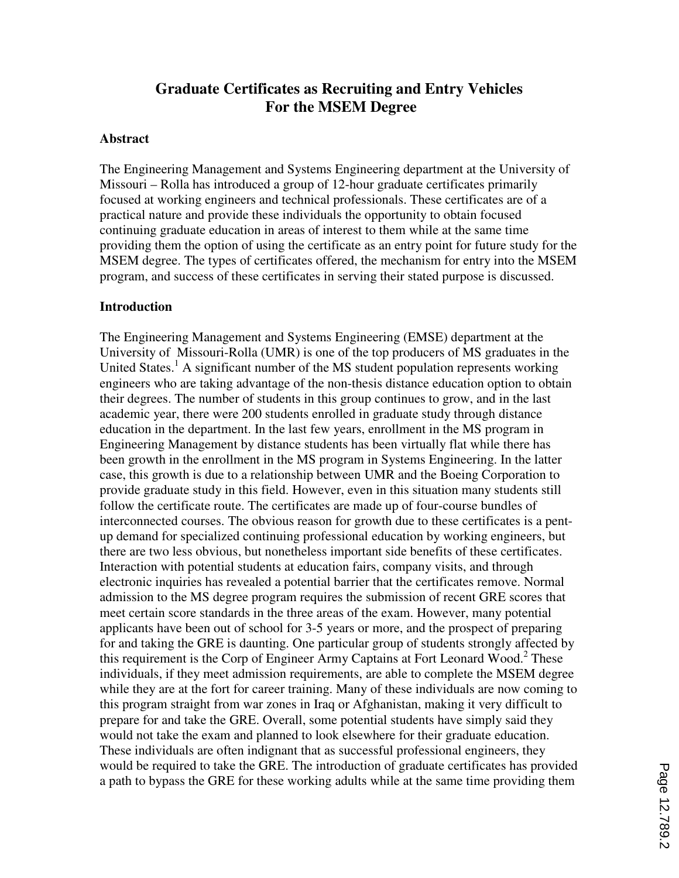# **Graduate Certificates as Recruiting and Entry Vehicles For the MSEM Degree**

#### **Abstract**

The Engineering Management and Systems Engineering department at the University of Missouri – Rolla has introduced a group of 12-hour graduate certificates primarily focused at working engineers and technical professionals. These certificates are of a practical nature and provide these individuals the opportunity to obtain focused continuing graduate education in areas of interest to them while at the same time providing them the option of using the certificate as an entry point for future study for the MSEM degree. The types of certificates offered, the mechanism for entry into the MSEM program, and success of these certificates in serving their stated purpose is discussed.

#### **Introduction**

The Engineering Management and Systems Engineering (EMSE) department at the University of Missouri-Rolla (UMR) is one of the top producers of MS graduates in the United States.<sup>1</sup> A significant number of the MS student population represents working engineers who are taking advantage of the non-thesis distance education option to obtain their degrees. The number of students in this group continues to grow, and in the last academic year, there were 200 students enrolled in graduate study through distance education in the department. In the last few years, enrollment in the MS program in Engineering Management by distance students has been virtually flat while there has been growth in the enrollment in the MS program in Systems Engineering. In the latter case, this growth is due to a relationship between UMR and the Boeing Corporation to provide graduate study in this field. However, even in this situation many students still follow the certificate route. The certificates are made up of four-course bundles of interconnected courses. The obvious reason for growth due to these certificates is a pentup demand for specialized continuing professional education by working engineers, but there are two less obvious, but nonetheless important side benefits of these certificates. Interaction with potential students at education fairs, company visits, and through electronic inquiries has revealed a potential barrier that the certificates remove. Normal admission to the MS degree program requires the submission of recent GRE scores that meet certain score standards in the three areas of the exam. However, many potential applicants have been out of school for 3-5 years or more, and the prospect of preparing for and taking the GRE is daunting. One particular group of students strongly affected by this requirement is the Corp of Engineer Army Captains at Fort Leonard Wood.<sup>2</sup> These individuals, if they meet admission requirements, are able to complete the MSEM degree while they are at the fort for career training. Many of these individuals are now coming to this program straight from war zones in Iraq or Afghanistan, making it very difficult to prepare for and take the GRE. Overall, some potential students have simply said they would not take the exam and planned to look elsewhere for their graduate education. These individuals are often indignant that as successful professional engineers, they would be required to take the GRE. The introduction of graduate certificates has provided a path to bypass the GRE for these working adults while at the same time providing them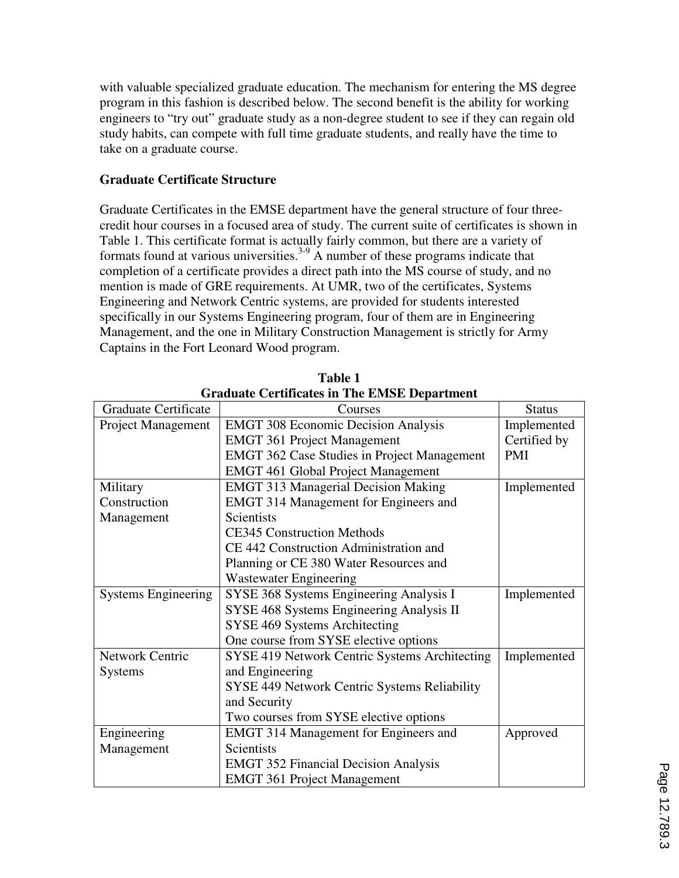with valuable specialized graduate education. The mechanism for entering the MS degree program in this fashion is described below. The second benefit is the ability for working engineers to "try out" graduate study as a non-degree student to see if they can regain old study habits, can compete with full time graduate students, and really have the time to take on a graduate course.

## **Graduate Certificate Structure**

Graduate Certificates in the EMSE department have the general structure of four threecredit hour courses in a focused area of study. The current suite of certificates is shown in Table 1. This certificate format is actually fairly common, but there are a variety of formats found at various universities.<sup>3-9</sup> A number of these programs indicate that completion of a certificate provides a direct path into the MS course of study, and no mention is made of GRE requirements. At UMR, two of the certificates, Systems Engineering and Network Centric systems, are provided for students interested specifically in our Systems Engineering program, four of them are in Engineering Management, and the one in Military Construction Management is strictly for Army Captains in the Fort Leonard Wood program.

| Graduate Certificates in The EMSE Department |                                                    |               |  |
|----------------------------------------------|----------------------------------------------------|---------------|--|
| <b>Graduate Certificate</b>                  | Courses                                            | <b>Status</b> |  |
| <b>Project Management</b>                    | <b>EMGT 308 Economic Decision Analysis</b>         | Implemented   |  |
|                                              | <b>EMGT 361 Project Management</b>                 | Certified by  |  |
|                                              | <b>EMGT 362 Case Studies in Project Management</b> | <b>PMI</b>    |  |
|                                              | <b>EMGT 461 Global Project Management</b>          |               |  |
| Military                                     | <b>EMGT 313 Managerial Decision Making</b>         | Implemented   |  |
| Construction                                 | EMGT 314 Management for Engineers and              |               |  |
| Management                                   | <b>Scientists</b>                                  |               |  |
|                                              | <b>CE345 Construction Methods</b>                  |               |  |
|                                              | CE 442 Construction Administration and             |               |  |
|                                              | Planning or CE 380 Water Resources and             |               |  |
|                                              | <b>Wastewater Engineering</b>                      |               |  |
| <b>Systems Engineering</b>                   | SYSE 368 Systems Engineering Analysis I            | Implemented   |  |
|                                              | SYSE 468 Systems Engineering Analysis II           |               |  |
|                                              | SYSE 469 Systems Architecting                      |               |  |
|                                              | One course from SYSE elective options              |               |  |
| <b>Network Centric</b>                       | SYSE 419 Network Centric Systems Architecting      | Implemented   |  |
| <b>Systems</b>                               | and Engineering                                    |               |  |
|                                              | SYSE 449 Network Centric Systems Reliability       |               |  |
|                                              | and Security                                       |               |  |
|                                              | Two courses from SYSE elective options             |               |  |
| Engineering                                  | <b>EMGT 314 Management for Engineers and</b>       | Approved      |  |
| Management                                   | <b>Scientists</b>                                  |               |  |
|                                              | <b>EMGT 352 Financial Decision Analysis</b>        |               |  |
|                                              | <b>EMGT 361 Project Management</b>                 |               |  |

**Table 1 Graduate Certificates in The EMSE Department**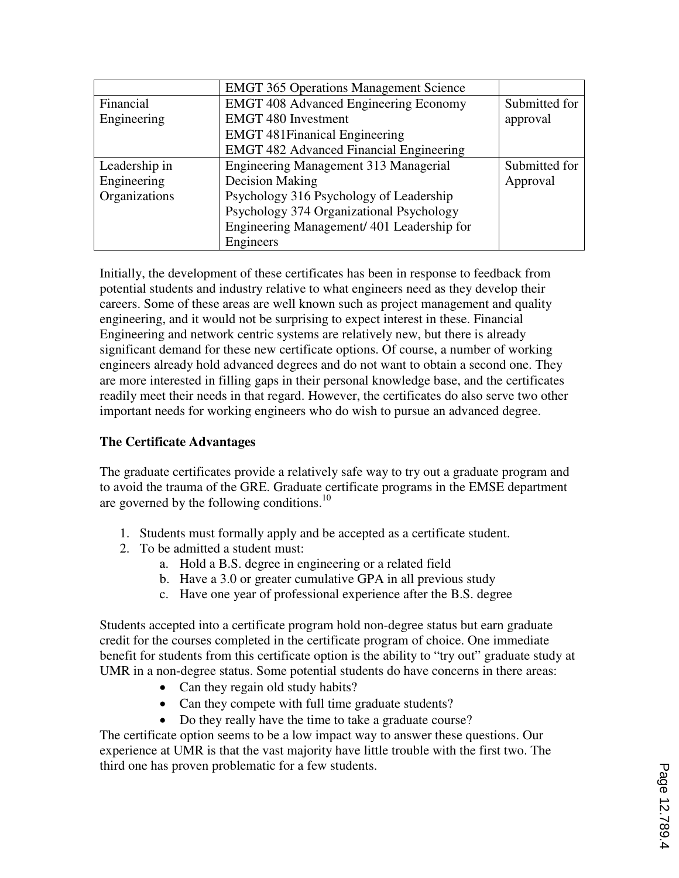|               | <b>EMGT 365 Operations Management Science</b>  |               |
|---------------|------------------------------------------------|---------------|
| Financial     | <b>EMGT</b> 408 Advanced Engineering Economy   | Submitted for |
| Engineering   | <b>EMGT 480 Investment</b>                     | approval      |
|               | <b>EMGT</b> 481 Finanical Engineering          |               |
|               | <b>EMGT 482 Advanced Financial Engineering</b> |               |
| Leadership in | Engineering Management 313 Managerial          | Submitted for |
| Engineering   | Decision Making                                | Approval      |
| Organizations | Psychology 316 Psychology of Leadership        |               |
|               | Psychology 374 Organizational Psychology       |               |
|               | Engineering Management/ 401 Leadership for     |               |
|               | Engineers                                      |               |

Initially, the development of these certificates has been in response to feedback from potential students and industry relative to what engineers need as they develop their careers. Some of these areas are well known such as project management and quality engineering, and it would not be surprising to expect interest in these. Financial Engineering and network centric systems are relatively new, but there is already significant demand for these new certificate options. Of course, a number of working engineers already hold advanced degrees and do not want to obtain a second one. They are more interested in filling gaps in their personal knowledge base, and the certificates readily meet their needs in that regard. However, the certificates do also serve two other important needs for working engineers who do wish to pursue an advanced degree.

### **The Certificate Advantages**

The graduate certificates provide a relatively safe way to try out a graduate program and to avoid the trauma of the GRE. Graduate certificate programs in the EMSE department are governed by the following conditions. $^{10}$ 

- 1. Students must formally apply and be accepted as a certificate student.
- 2. To be admitted a student must:
	- a. Hold a B.S. degree in engineering or a related field
	- b. Have a 3.0 or greater cumulative GPA in all previous study
	- c. Have one year of professional experience after the B.S. degree

Students accepted into a certificate program hold non-degree status but earn graduate credit for the courses completed in the certificate program of choice. One immediate benefit for students from this certificate option is the ability to "try out" graduate study at UMR in a non-degree status. Some potential students do have concerns in there areas:

- Can they regain old study habits?
- Can they compete with full time graduate students?
- Do they really have the time to take a graduate course?

The certificate option seems to be a low impact way to answer these questions. Our experience at UMR is that the vast majority have little trouble with the first two. The third one has proven problematic for a few students.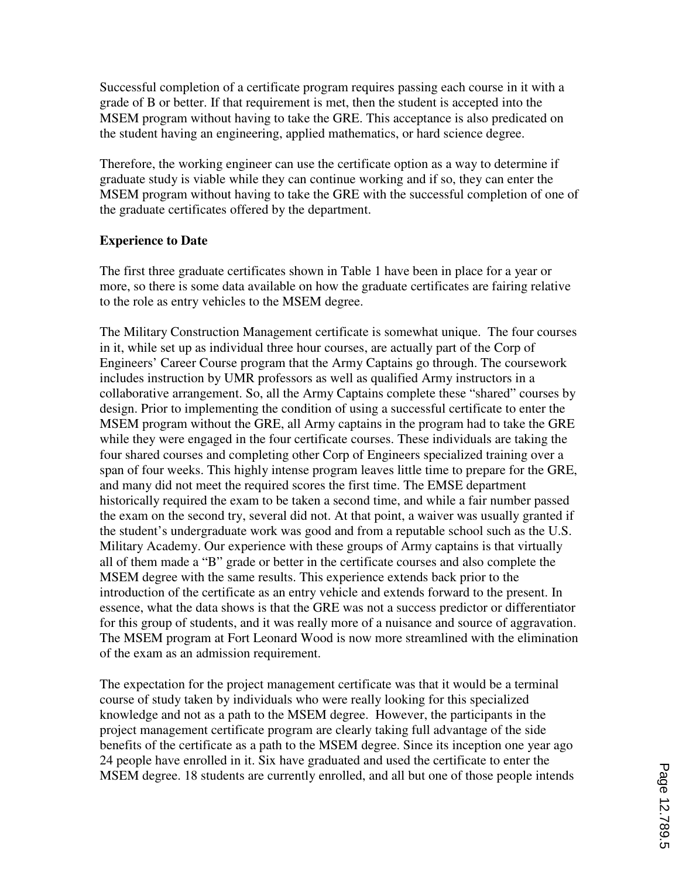Successful completion of a certificate program requires passing each course in it with a grade of B or better. If that requirement is met, then the student is accepted into the MSEM program without having to take the GRE. This acceptance is also predicated on the student having an engineering, applied mathematics, or hard science degree.

Therefore, the working engineer can use the certificate option as a way to determine if graduate study is viable while they can continue working and if so, they can enter the MSEM program without having to take the GRE with the successful completion of one of the graduate certificates offered by the department.

### **Experience to Date**

The first three graduate certificates shown in Table 1 have been in place for a year or more, so there is some data available on how the graduate certificates are fairing relative to the role as entry vehicles to the MSEM degree.

The Military Construction Management certificate is somewhat unique. The four courses in it, while set up as individual three hour courses, are actually part of the Corp of Engineers' Career Course program that the Army Captains go through. The coursework includes instruction by UMR professors as well as qualified Army instructors in a collaborative arrangement. So, all the Army Captains complete these "shared" courses by design. Prior to implementing the condition of using a successful certificate to enter the MSEM program without the GRE, all Army captains in the program had to take the GRE while they were engaged in the four certificate courses. These individuals are taking the four shared courses and completing other Corp of Engineers specialized training over a span of four weeks. This highly intense program leaves little time to prepare for the GRE, and many did not meet the required scores the first time. The EMSE department historically required the exam to be taken a second time, and while a fair number passed the exam on the second try, several did not. At that point, a waiver was usually granted if the student's undergraduate work was good and from a reputable school such as the U.S. Military Academy. Our experience with these groups of Army captains is that virtually all of them made a "B" grade or better in the certificate courses and also complete the MSEM degree with the same results. This experience extends back prior to the introduction of the certificate as an entry vehicle and extends forward to the present. In essence, what the data shows is that the GRE was not a success predictor or differentiator for this group of students, and it was really more of a nuisance and source of aggravation. The MSEM program at Fort Leonard Wood is now more streamlined with the elimination of the exam as an admission requirement.

The expectation for the project management certificate was that it would be a terminal course of study taken by individuals who were really looking for this specialized knowledge and not as a path to the MSEM degree. However, the participants in the project management certificate program are clearly taking full advantage of the side benefits of the certificate as a path to the MSEM degree. Since its inception one year ago 24 people have enrolled in it. Six have graduated and used the certificate to enter the MSEM degree. 18 students are currently enrolled, and all but one of those people intends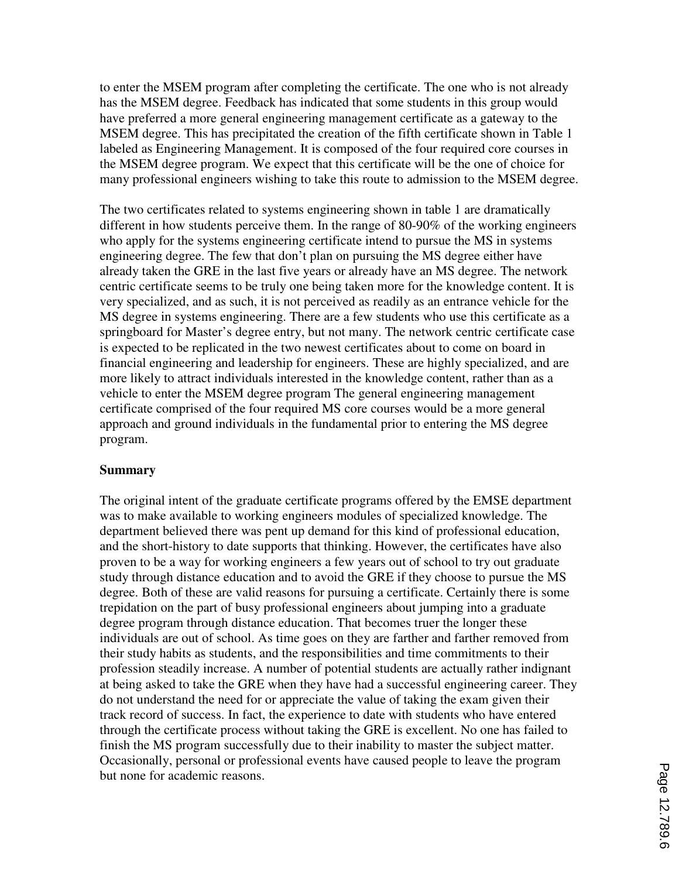to enter the MSEM program after completing the certificate. The one who is not already has the MSEM degree. Feedback has indicated that some students in this group would have preferred a more general engineering management certificate as a gateway to the MSEM degree. This has precipitated the creation of the fifth certificate shown in Table 1 labeled as Engineering Management. It is composed of the four required core courses in the MSEM degree program. We expect that this certificate will be the one of choice for many professional engineers wishing to take this route to admission to the MSEM degree.

The two certificates related to systems engineering shown in table 1 are dramatically different in how students perceive them. In the range of 80-90% of the working engineers who apply for the systems engineering certificate intend to pursue the MS in systems engineering degree. The few that don't plan on pursuing the MS degree either have already taken the GRE in the last five years or already have an MS degree. The network centric certificate seems to be truly one being taken more for the knowledge content. It is very specialized, and as such, it is not perceived as readily as an entrance vehicle for the MS degree in systems engineering. There are a few students who use this certificate as a springboard for Master's degree entry, but not many. The network centric certificate case is expected to be replicated in the two newest certificates about to come on board in financial engineering and leadership for engineers. These are highly specialized, and are more likely to attract individuals interested in the knowledge content, rather than as a vehicle to enter the MSEM degree program The general engineering management certificate comprised of the four required MS core courses would be a more general approach and ground individuals in the fundamental prior to entering the MS degree program.

### **Summary**

The original intent of the graduate certificate programs offered by the EMSE department was to make available to working engineers modules of specialized knowledge. The department believed there was pent up demand for this kind of professional education, and the short-history to date supports that thinking. However, the certificates have also proven to be a way for working engineers a few years out of school to try out graduate study through distance education and to avoid the GRE if they choose to pursue the MS degree. Both of these are valid reasons for pursuing a certificate. Certainly there is some trepidation on the part of busy professional engineers about jumping into a graduate degree program through distance education. That becomes truer the longer these individuals are out of school. As time goes on they are farther and farther removed from their study habits as students, and the responsibilities and time commitments to their profession steadily increase. A number of potential students are actually rather indignant at being asked to take the GRE when they have had a successful engineering career. They do not understand the need for or appreciate the value of taking the exam given their track record of success. In fact, the experience to date with students who have entered through the certificate process without taking the GRE is excellent. No one has failed to finish the MS program successfully due to their inability to master the subject matter. Occasionally, personal or professional events have caused people to leave the program but none for academic reasons.